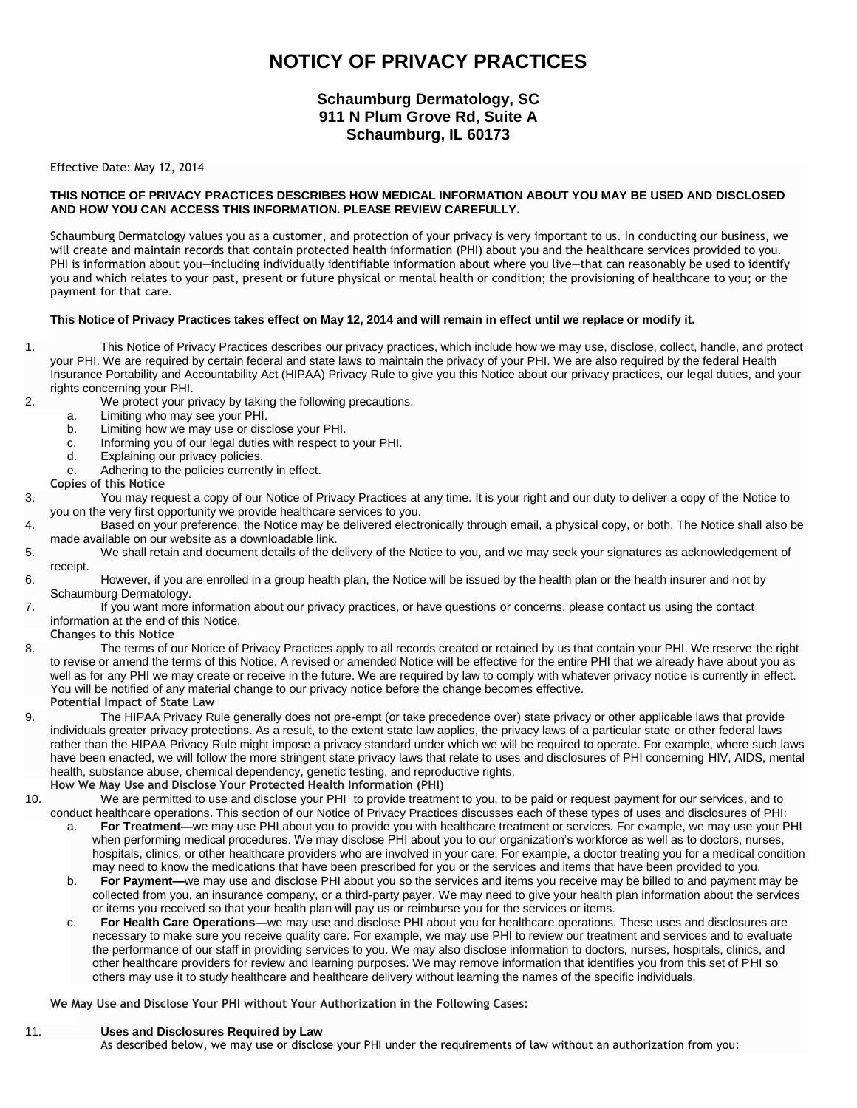# **NOTICY OF PRIVACY PRACTICES**

# **Schaumburg Dermatology, SC 911 N Plum Grove Rd, Suite A Schaumburg, IL 60173**

#### Effective Date: May 12, 2014

### **THIS NOTICE OF PRIVACY PRACTICES DESCRIBES HOW MEDICAL INFORMATION ABOUT YOU MAY BE USED AND DISCLOSED AND HOW YOU CAN ACCESS THIS INFORMATION. PLEASE REVIEW CAREFULLY.**

Schaumburg Dermatology values you as a customer, and protection of your privacy is very important to us. In conducting our business, we will create and maintain records that contain protected health information (PHI) about you and the healthcare services provided to you. PHI is information about you—including individually identifiable information about where you live—that can reasonably be used to identify you and which relates to your past, present or future physical or mental health or condition; the provisioning of healthcare to you; or the payment for that care.

#### **This Notice of Privacy Practices takes effect on May 12, 2014 and will remain in effect until we replace or modify it.**

- 1. This Notice of Privacy Practices describes our privacy practices, which include how we may use, disclose, collect, handle, and protect your PHI. We are required by certain federal and state laws to maintain the privacy of your PHI. We are also required by the federal Health Insurance Portability and Accountability Act (HIPAA) Privacy Rule to give you this Notice about our privacy practices, our legal duties, and your rights concerning your PHI.
- 2. We protect your privacy by taking the following precautions:
	- a. Limiting who may see your PHI.<br>b. Limiting how we may use or disc
	- Limiting how we may use or disclose your PHI.
	- c. Informing you of our legal duties with respect to your PHI.
	- d. Explaining our privacy policies.
	- e. Adhering to the policies currently in effect.
- **Copies of this Notice**
- 3. You may request a copy of our Notice of Privacy Practices at any time. It is your right and our duty to deliver a copy of the Notice to you on the very first opportunity we provide healthcare services to you.
- 4. Based on your preference, the Notice may be delivered electronically through email, a physical copy, or both. The Notice shall also be made available on our website as a downloadable link.
- 5. We shall retain and document details of the delivery of the Notice to you, and we may seek your signatures as acknowledgement of receipt.
- 6. However, if you are enrolled in a group health plan, the Notice will be issued by the health plan or the health insurer and not by Schaumburg Dermatology.
- 7. If you want more information about our privacy practices, or have questions or concerns, please contact us using the contact information at the end of this Notice.
	- **Changes to this Notice**
- 8. The terms of our Notice of Privacy Practices apply to all records created or retained by us that contain your PHI. We reserve the right to revise or amend the terms of this Notice. A revised or amended Notice will be effective for the entire PHI that we already have about you as well as for any PHI we may create or receive in the future. We are required by law to comply with whatever privacy notice is currently in effect. You will be notified of any material change to our privacy notice before the change becomes effective. **Potential Impact of State Law**
- 9. The HIPAA Privacy Rule generally does not pre-empt (or take precedence over) state privacy or other applicable laws that provide individuals greater privacy protections. As a result, to the extent state law applies, the privacy laws of a particular state or other federal laws rather than the HIPAA Privacy Rule might impose a privacy standard under which we will be required to operate. For example, where such laws have been enacted, we will follow the more stringent state privacy laws that relate to uses and disclosures of PHI concerning HIV, AIDS, mental health, substance abuse, chemical dependency, genetic testing, and reproductive rights.
- **How We May Use and Disclose Your Protected Health Information (PHI)**
- 10. We are permitted to use and disclose your PHI to provide treatment to you, to be paid or request payment for our services, and to conduct healthcare operations. This section of our Notice of Privacy Practices discusses each of these types of uses and disclosures of PHI:
	- a. **For Treatment—**we may use PHI about you to provide you with healthcare treatment or services. For example, we may use your PHI when performing medical procedures. We may disclose PHI about you to our organization's workforce as well as to doctors, nurses, hospitals, clinics, or other healthcare providers who are involved in your care. For example, a doctor treating you for a medical condition may need to know the medications that have been prescribed for you or the services and items that have been provided to you.
	- b. **For Payment—**we may use and disclose PHI about you so the services and items you receive may be billed to and payment may be collected from you, an insurance company, or a third-party payer. We may need to give your health plan information about the services or items you received so that your health plan will pay us or reimburse you for the services or items.
	- c. **For Health Care Operations—**we may use and disclose PHI about you for healthcare operations. These uses and disclosures are necessary to make sure you receive quality care. For example, we may use PHI to review our treatment and services and to evaluate the performance of our staff in providing services to you. We may also disclose information to doctors, nurses, hospitals, clinics, and other healthcare providers for review and learning purposes. We may remove information that identifies you from this set of PHI so others may use it to study healthcare and healthcare delivery without learning the names of the specific individuals.

**We May Use and Disclose Your PHI without Your Authorization in the Following Cases:**

#### 11. **Uses and Disclosures Required by Law**

As described below, we may use or disclose your PHI under the requirements of law without an authorization from you: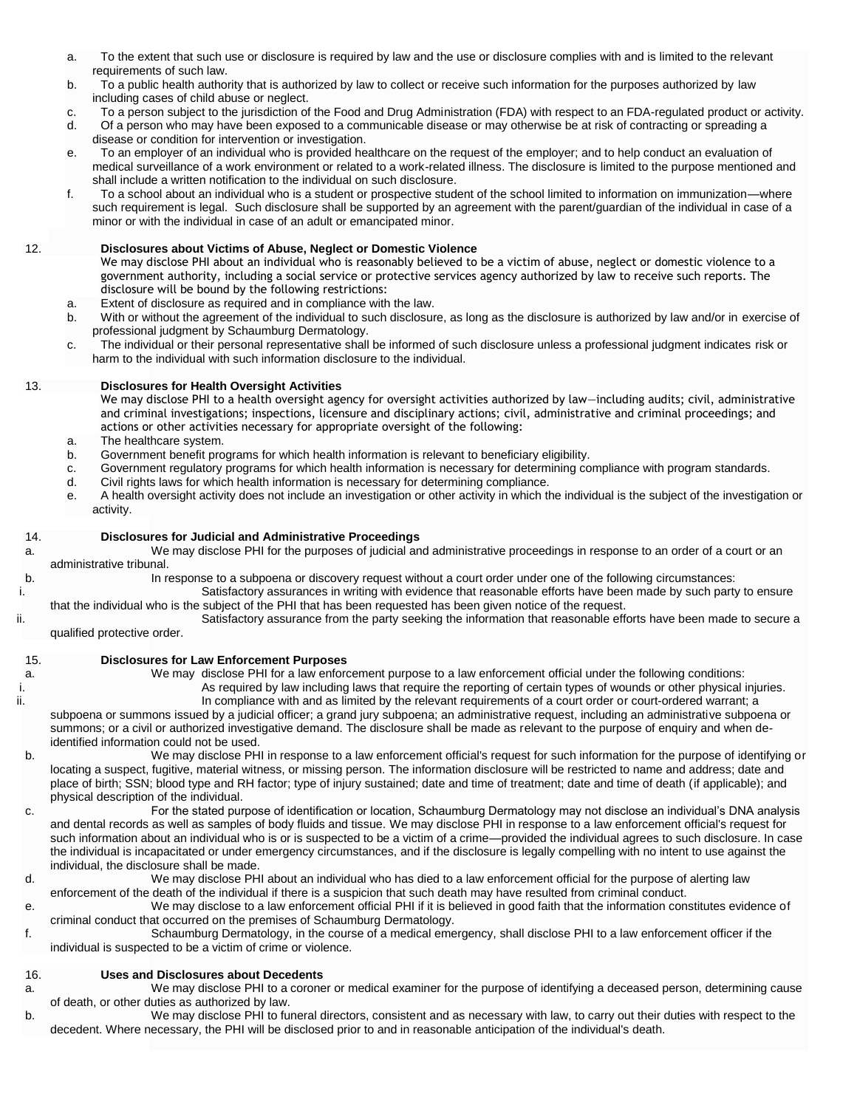- a. To the extent that such use or disclosure is required by law and the use or disclosure complies with and is limited to the relevant requirements of such law.
- b. To a public health authority that is authorized by law to collect or receive such information for the purposes authorized by law including cases of child abuse or neglect.
- c. To a person subject to the jurisdiction of the Food and Drug Administration (FDA) with respect to an FDA-regulated product or activity.
- d. Of a person who may have been exposed to a communicable disease or may otherwise be at risk of contracting or spreading a disease or condition for intervention or investigation.
- e. To an employer of an individual who is provided healthcare on the request of the employer; and to help conduct an evaluation of medical surveillance of a work environment or related to a work-related illness. The disclosure is limited to the purpose mentioned and shall include a written notification to the individual on such disclosure.
- f. To a school about an individual who is a student or prospective student of the school limited to information on immunization—where such requirement is legal. Such disclosure shall be supported by an agreement with the parent/guardian of the individual in case of a minor or with the individual in case of an adult or emancipated minor.

## 12. **Disclosures about Victims of Abuse, Neglect or Domestic Violence**

We may disclose PHI about an individual who is reasonably believed to be a victim of abuse, neglect or domestic violence to a government authority, including a social service or protective services agency authorized by law to receive such reports. The disclosure will be bound by the following restrictions:

- a. Extent of disclosure as required and in compliance with the law.
- b. With or without the agreement of the individual to such disclosure, as long as the disclosure is authorized by law and/or in exercise of professional judgment by Schaumburg Dermatology.
- c. The individual or their personal representative shall be informed of such disclosure unless a professional judgment indicates risk or harm to the individual with such information disclosure to the individual.

### 13. **Disclosures for Health Oversight Activities**

We may disclose PHI to a health oversight agency for oversight activities authorized by law—including audits; civil, administrative and criminal investigations; inspections, licensure and disciplinary actions; civil, administrative and criminal proceedings; and actions or other activities necessary for appropriate oversight of the following:

- a. The healthcare system.
- b. Government benefit programs for which health information is relevant to beneficiary eligibility.
- c. Government regulatory programs for which health information is necessary for determining compliance with program standards.
- d. Civil rights laws for which health information is necessary for determining compliance.
- e. A health oversight activity does not include an investigation or other activity in which the individual is the subject of the investigation or activity.

## 14. **Disclosures for Judicial and Administrative Proceedings**

a. We may disclose PHI for the purposes of judicial and administrative proceedings in response to an order of a court or an administrative tribunal.

b. In response to a subpoena or discovery request without a court order under one of the following circumstances:

- i. Satisfactory assurances in writing with evidence that reasonable efforts have been made by such party to ensure that the individual who is the subject of the PHI that has been requested has been given notice of the request.
- ii. Satisfactory assurance from the party seeking the information that reasonable efforts have been made to secure a qualified protective order.
	-

#### 15. **Disclosures for Law Enforcement Purposes**

- a. We may disclose PHI for a law enforcement purpose to a law enforcement official under the following conditions: i. As required by law including laws that require the reporting of certain types of wounds or other physical injuries. ii. In compliance with and as limited by the relevant requirements of a court order or court-ordered warrant; a subpoena or summons issued by a judicial officer; a grand jury subpoena; an administrative request, including an administrative subpoena or summons; or a civil or authorized investigative demand. The disclosure shall be made as relevant to the purpose of enquiry and when deidentified information could not be used.
- b. We may disclose PHI in response to a law enforcement official's request for such information for the purpose of identifying or locating a suspect, fugitive, material witness, or missing person. The information disclosure will be restricted to name and address; date and place of birth; SSN; blood type and RH factor; type of injury sustained; date and time of treatment; date and time of death (if applicable); and physical description of the individual.
- c. For the stated purpose of identification or location, Schaumburg Dermatology may not disclose an individual's DNA analysis and dental records as well as samples of body fluids and tissue. We may disclose PHI in response to a law enforcement official's request for such information about an individual who is or is suspected to be a victim of a crime—provided the individual agrees to such disclosure. In case the individual is incapacitated or under emergency circumstances, and if the disclosure is legally compelling with no intent to use against the individual, the disclosure shall be made.
- d. We may disclose PHI about an individual who has died to a law enforcement official for the purpose of alerting law enforcement of the death of the individual if there is a suspicion that such death may have resulted from criminal conduct.
- e. We may disclose to a law enforcement official PHI if it is believed in good faith that the information constitutes evidence of criminal conduct that occurred on the premises of Schaumburg Dermatology.
- f. Schaumburg Dermatology, in the course of a medical emergency, shall disclose PHI to a law enforcement officer if the individual is suspected to be a victim of crime or violence.

#### 16. **Uses and Disclosures about Decedents**

- a. We may disclose PHI to a coroner or medical examiner for the purpose of identifying a deceased person, determining cause of death, or other duties as authorized by law.
- b. We may disclose PHI to funeral directors, consistent and as necessary with law, to carry out their duties with respect to the decedent. Where necessary, the PHI will be disclosed prior to and in reasonable anticipation of the individual's death.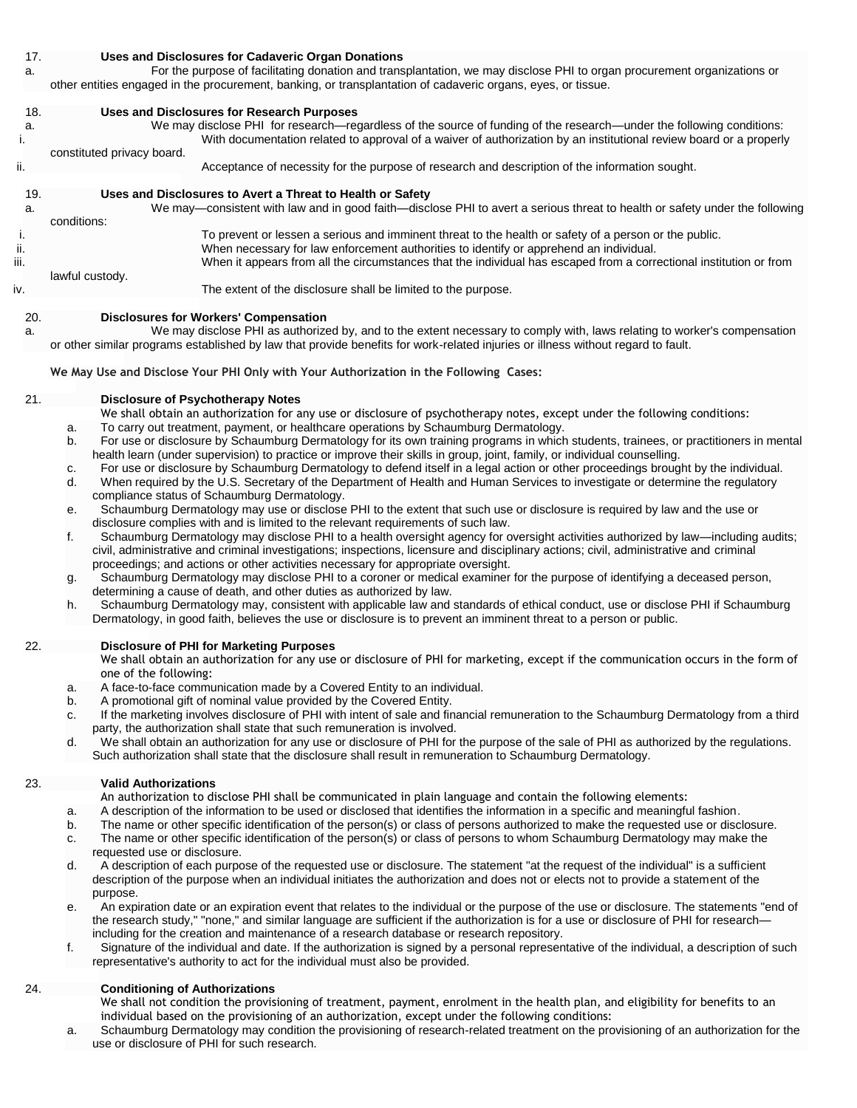#### 17. **Uses and Disclosures for Cadaveric Organ Donations**

a. For the purpose of facilitating donation and transplantation, we may disclose PHI to organ procurement organizations or other entities engaged in the procurement, banking, or transplantation of cadaveric organs, eyes, or tissue.

## 18. **Uses and Disclosures for Research Purposes** a. We may disclose PHI for research—regardless of the source of funding of the research—under the following conditions: i. With documentation related to approval of a waiver of authorization by an institutional review board or a properly constituted privacy board. ii. Acceptance of necessity for the purpose of research and description of the information sought. 19. **Uses and Disclosures to Avert a Threat to Health or Safety** a. We may—consistent with law and in good faith—disclose PHI to avert a serious threat to health or safety under the following conditions: i. To prevent or lessen a serious and imminent threat to the health or safety of a person or the public. ii. When necessary for law enforcement authorities to identify or apprehend an individual. iii. When it appears from all the circumstances that the individual has escaped from a correctional institution or from lawful custody. iv. The extent of the disclosure shall be limited to the purpose.

### 20. **Disclosures for Workers' Compensation**

a. We may disclose PHI as authorized by, and to the extent necessary to comply with, laws relating to worker's compensation or other similar programs established by law that provide benefits for work-related injuries or illness without regard to fault.

**We May Use and Disclose Your PHI Only with Your Authorization in the Following Cases:**

### 21. **Disclosure of Psychotherapy Notes**

- We shall obtain an authorization for any use or disclosure of psychotherapy notes, except under the following conditions:
- a. To carry out treatment, payment, or healthcare operations by Schaumburg Dermatology.
- b. For use or disclosure by Schaumburg Dermatology for its own training programs in which students, trainees, or practitioners in mental health learn (under supervision) to practice or improve their skills in group, joint, family, or individual counselling.
- c. For use or disclosure by Schaumburg Dermatology to defend itself in a legal action or other proceedings brought by the individual.
- d. When required by the U.S. Secretary of the Department of Health and Human Services to investigate or determine the regulatory compliance status of Schaumburg Dermatology.
- e. Schaumburg Dermatology may use or disclose PHI to the extent that such use or disclosure is required by law and the use or disclosure complies with and is limited to the relevant requirements of such law.
- f. Schaumburg Dermatology may disclose PHI to a health oversight agency for oversight activities authorized by law—including audits; civil, administrative and criminal investigations; inspections, licensure and disciplinary actions; civil, administrative and criminal proceedings; and actions or other activities necessary for appropriate oversight.
- g. Schaumburg Dermatology may disclose PHI to a coroner or medical examiner for the purpose of identifying a deceased person, determining a cause of death, and other duties as authorized by law.
- h. Schaumburg Dermatology may, consistent with applicable law and standards of ethical conduct, use or disclose PHI if Schaumburg Dermatology, in good faith, believes the use or disclosure is to prevent an imminent threat to a person or public.

### 22. **Disclosure of PHI for Marketing Purposes**

We shall obtain an authorization for any use or disclosure of PHI for marketing, except if the communication occurs in the form of one of the following:

- a. A face-to-face communication made by a Covered Entity to an individual.
- b. A promotional gift of nominal value provided by the Covered Entity.
- c. If the marketing involves disclosure of PHI with intent of sale and financial remuneration to the Schaumburg Dermatology from a third party, the authorization shall state that such remuneration is involved.
- d. We shall obtain an authorization for any use or disclosure of PHI for the purpose of the sale of PHI as authorized by the regulations. Such authorization shall state that the disclosure shall result in remuneration to Schaumburg Dermatology.

#### 23. **Valid Authorizations**

An authorization to disclose PHI shall be communicated in plain language and contain the following elements:

- a. A description of the information to be used or disclosed that identifies the information in a specific and meaningful fashion.
- b. The name or other specific identification of the person(s) or class of persons authorized to make the requested use or disclosure.
- c. The name or other specific identification of the person(s) or class of persons to whom Schaumburg Dermatology may make the requested use or disclosure.
- d. A description of each purpose of the requested use or disclosure. The statement "at the request of the individual" is a sufficient description of the purpose when an individual initiates the authorization and does not or elects not to provide a statement of the purpose.
- e. An expiration date or an expiration event that relates to the individual or the purpose of the use or disclosure. The statements "end of the research study," "none," and similar language are sufficient if the authorization is for a use or disclosure of PHI for research including for the creation and maintenance of a research database or research repository.
- f. Signature of the individual and date. If the authorization is signed by a personal representative of the individual, a description of such representative's authority to act for the individual must also be provided.

## 24. **Conditioning of Authorizations**

We shall not condition the provisioning of treatment, payment, enrolment in the health plan, and eligibility for benefits to an individual based on the provisioning of an authorization, except under the following conditions:

a. Schaumburg Dermatology may condition the provisioning of research-related treatment on the provisioning of an authorization for the use or disclosure of PHI for such research.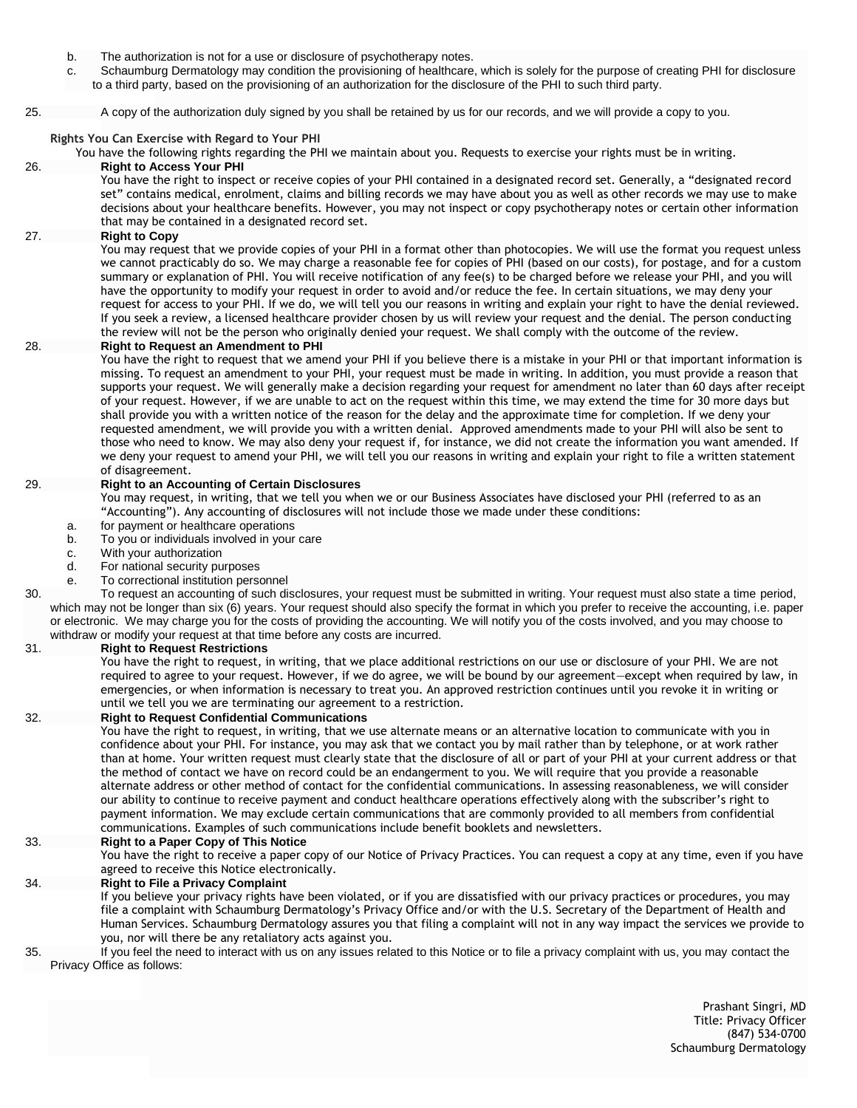- b. The authorization is not for a use or disclosure of psychotherapy notes.
- c. Schaumburg Dermatology may condition the provisioning of healthcare, which is solely for the purpose of creating PHI for disclosure to a third party, based on the provisioning of an authorization for the disclosure of the PHI to such third party.
- 25. A copy of the authorization duly signed by you shall be retained by us for our records, and we will provide a copy to you.

**Rights You Can Exercise with Regard to Your PHI**

You have the following rights regarding the PHI we maintain about you. Requests to exercise your rights must be in writing.

#### 26. **Right to Access Your PHI**

You have the right to inspect or receive copies of your PHI contained in a designated record set. Generally, a "designated record set" contains medical, enrolment, claims and billing records we may have about you as well as other records we may use to make decisions about your healthcare benefits. However, you may not inspect or copy psychotherapy notes or certain other information that may be contained in a designated record set.

#### 27. **Right to Copy**

You may request that we provide copies of your PHI in a format other than photocopies. We will use the format you request unless we cannot practicably do so. We may charge a reasonable fee for copies of PHI (based on our costs), for postage, and for a custom summary or explanation of PHI. You will receive notification of any fee(s) to be charged before we release your PHI, and you will have the opportunity to modify your request in order to avoid and/or reduce the fee. In certain situations, we may deny your request for access to your PHI. If we do, we will tell you our reasons in writing and explain your right to have the denial reviewed. If you seek a review, a licensed healthcare provider chosen by us will review your request and the denial. The person conducting the review will not be the person who originally denied your request. We shall comply with the outcome of the review.

### 28. **Right to Request an Amendment to PHI**

You have the right to request that we amend your PHI if you believe there is a mistake in your PHI or that important information is missing. To request an amendment to your PHI, your request must be made in writing. In addition, you must provide a reason that supports your request. We will generally make a decision regarding your request for amendment no later than 60 days after receipt of your request. However, if we are unable to act on the request within this time, we may extend the time for 30 more days but shall provide you with a written notice of the reason for the delay and the approximate time for completion. If we deny your requested amendment, we will provide you with a written denial. Approved amendments made to your PHI will also be sent to those who need to know. We may also deny your request if, for instance, we did not create the information you want amended. If we deny your request to amend your PHI, we will tell you our reasons in writing and explain your right to file a written statement of disagreement.

#### 29. **Right to an Accounting of Certain Disclosures**

You may request, in writing, that we tell you when we or our Business Associates have disclosed your PHI (referred to as an "Accounting"). Any accounting of disclosures will not include those we made under these conditions:

- a. for payment or healthcare operations
- b. To you or individuals involved in your care
- c. With your authorization
- d. For national security purposes
- e. To correctional institution personnel

30. To request an accounting of such disclosures, your request must be submitted in writing. Your request must also state a time period, which may not be longer than six (6) years. Your request should also specify the format in which you prefer to receive the accounting, i.e. paper or electronic. We may charge you for the costs of providing the accounting. We will notify you of the costs involved, and you may choose to withdraw or modify your request at that time before any costs are incurred.

#### 31. **Right to Request Restrictions**

You have the right to request, in writing, that we place additional restrictions on our use or disclosure of your PHI. We are not required to agree to your request. However, if we do agree, we will be bound by our agreement—except when required by law, in emergencies, or when information is necessary to treat you. An approved restriction continues until you revoke it in writing or until we tell you we are terminating our agreement to a restriction.

### 32. **Right to Request Confidential Communications**

You have the right to request, in writing, that we use alternate means or an alternative location to communicate with you in confidence about your PHI. For instance, you may ask that we contact you by mail rather than by telephone, or at work rather than at home. Your written request must clearly state that the disclosure of all or part of your PHI at your current address or that the method of contact we have on record could be an endangerment to you. We will require that you provide a reasonable alternate address or other method of contact for the confidential communications. In assessing reasonableness, we will consider our ability to continue to receive payment and conduct healthcare operations effectively along with the subscriber's right to payment information. We may exclude certain communications that are commonly provided to all members from confidential communications. Examples of such communications include benefit booklets and newsletters.

#### 33. **Right to a Paper Copy of This Notice**

You have the right to receive a paper copy of our Notice of Privacy Practices. You can request a copy at any time, even if you have agreed to receive this Notice electronically.

#### 34. **Right to File a Privacy Complaint**

If you believe your privacy rights have been violated, or if you are dissatisfied with our privacy practices or procedures, you may file a complaint with Schaumburg Dermatology's Privacy Office and/or with the U.S. Secretary of the Department of Health and Human Services. Schaumburg Dermatology assures you that filing a complaint will not in any way impact the services we provide to you, nor will there be any retaliatory acts against you.

35. If you feel the need to interact with us on any issues related to this Notice or to file a privacy complaint with us, you may contact the Privacy Office as follows:

> Prashant Singri, MD Title: Privacy Officer (847) 534-0700 Schaumburg Dermatology